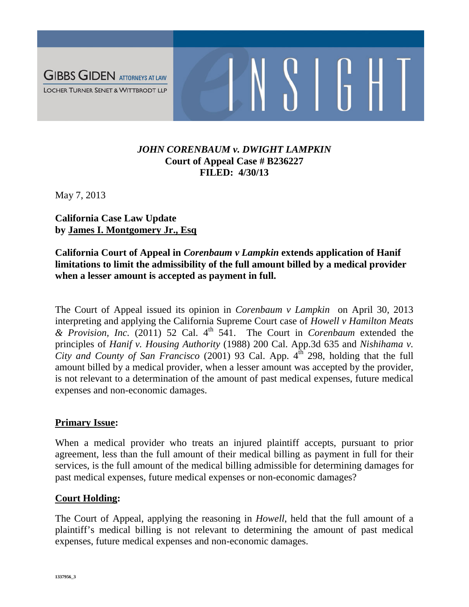

## *JOHN CORENBAUM v. DWIGHT LAMPKIN* **Court of Appeal Case # B236227 FILED: 4/30/13**

May 7, 2013

**California Case Law Update by James I. Montgomery Jr., Esq**

**California Court of Appeal in** *Corenbaum v Lampkin* **extends application of Hanif limitations to limit the admissibility of the full amount billed by a medical provider when a lesser amount is accepted as payment in full.**

The Court of Appeal issued its opinion in *Corenbaum v Lampkin* on April 30, 2013 interpreting and applying the California Supreme Court case of *Howell v Hamilton Meats & Provision, Inc.* (2011) 52 Cal. 4th 541. The Court in *Corenbaum* extended the principles of *Hanif v. Housing Authority* (1988) 200 Cal. App.3d 635 and *Nishihama v. City and County of San Francisco* (2001) 93 Cal. App. 4<sup>th 298</sup>, holding that the full amount billed by a medical provider, when a lesser amount was accepted by the provider, is not relevant to a determination of the amount of past medical expenses, future medical expenses and non-economic damages.

### **Primary Issue:**

When a medical provider who treats an injured plaintiff accepts, pursuant to prior agreement, less than the full amount of their medical billing as payment in full for their services, is the full amount of the medical billing admissible for determining damages for past medical expenses, future medical expenses or non-economic damages?

### **Court Holding:**

The Court of Appeal, applying the reasoning in *Howell*, held that the full amount of a plaintiff's medical billing is not relevant to determining the amount of past medical expenses, future medical expenses and non-economic damages.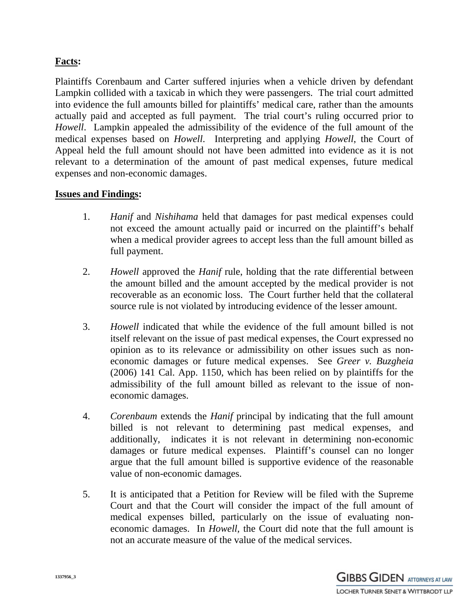# **Facts:**

Plaintiffs Corenbaum and Carter suffered injuries when a vehicle driven by defendant Lampkin collided with a taxicab in which they were passengers. The trial court admitted into evidence the full amounts billed for plaintiffs' medical care, rather than the amounts actually paid and accepted as full payment. The trial court's ruling occurred prior to *Howell*. Lampkin appealed the admissibility of the evidence of the full amount of the medical expenses based on *Howell*. Interpreting and applying *Howell*, the Court of Appeal held the full amount should not have been admitted into evidence as it is not relevant to a determination of the amount of past medical expenses, future medical expenses and non-economic damages.

### **Issues and Findings:**

- 1. *Hanif* and *Nishihama* held that damages for past medical expenses could not exceed the amount actually paid or incurred on the plaintiff's behalf when a medical provider agrees to accept less than the full amount billed as full payment.
- 2. *Howell* approved the *Hanif* rule, holding that the rate differential between the amount billed and the amount accepted by the medical provider is not recoverable as an economic loss. The Court further held that the collateral source rule is not violated by introducing evidence of the lesser amount.
- 3. *Howell* indicated that while the evidence of the full amount billed is not itself relevant on the issue of past medical expenses, the Court expressed no opinion as to its relevance or admissibility on other issues such as noneconomic damages or future medical expenses. See *Greer v. Buzgheia* (2006) 141 Cal. App. 1150, which has been relied on by plaintiffs for the admissibility of the full amount billed as relevant to the issue of noneconomic damages.
- 4. *Corenbaum* extends the *Hanif* principal by indicating that the full amount billed is not relevant to determining past medical expenses, and additionally, indicates it is not relevant in determining non-economic damages or future medical expenses. Plaintiff's counsel can no longer argue that the full amount billed is supportive evidence of the reasonable value of non-economic damages.
- 5. It is anticipated that a Petition for Review will be filed with the Supreme Court and that the Court will consider the impact of the full amount of medical expenses billed, particularly on the issue of evaluating noneconomic damages. In *Howell,* the Court did note that the full amount is not an accurate measure of the value of the medical services.